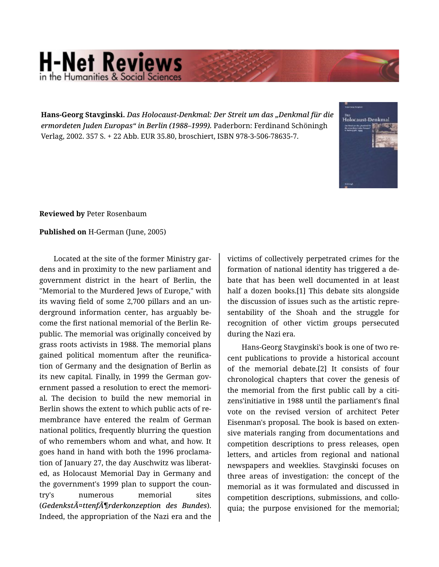## **H-Net Reviews** in the Humanities & Social Scie

**Hans-Georg Stavginski.** *Das Holocaust-Denkmal: Der Streit um das "Denkmal für die ermordeten Juden Europas" in Berlin (1988–1999).* Paderborn: Ferdinand Schöningh Verlag, 2002. 357 S. + 22 Abb. EUR 35.80, broschiert, ISBN 978-3-506-78635-7.



## **Reviewed by** Peter Rosenbaum

## **Published on** H-German (June, 2005)

Located at the site of the former Ministry gar‐ dens and in proximity to the new parliament and government district in the heart of Berlin, the "Memorial to the Murdered Jews of Europe," with its waving field of some 2,700 pillars and an un‐ derground information center, has arguably be‐ come the first national memorial of the Berlin Re‐ public. The memorial was originally conceived by grass roots activists in 1988. The memorial plans gained political momentum after the reunifica‐ tion of Germany and the designation of Berlin as its new capital. Finally, in 1999 the German government passed a resolution to erect the memori‐ al. The decision to build the new memorial in Berlin shows the extent to which public acts of re‐ membrance have entered the realm of German national politics, frequently blurring the question of who remembers whom and what, and how. It goes hand in hand with both the 1996 proclama‐ tion of January 27, the day Auschwitz was liberat‐ ed, as Holocaust Memorial Day in Germany and the government's 1999 plan to support the coun‐ try's numerous memorial sites (*Gedenkstättenförderkonzeption des Bundes*). Indeed, the appropriation of the Nazi era and the

victims of collectively perpetrated crimes for the formation of national identity has triggered a de‐ bate that has been well documented in at least half a dozen books.[1] This debate sits alongside the discussion of issues such as the artistic repre‐ sentability of the Shoah and the struggle for recognition of other victim groups persecuted during the Nazi era.

Hans-Georg Stavginski's book is one of two re‐ cent publications to provide a historical account of the memorial debate.[2] It consists of four chronological chapters that cover the genesis of the memorial from the first public call by a citi‐ zens'initiative in 1988 until the parliament's final vote on the revised version of architect Peter Eisenman's proposal. The book is based on exten‐ sive materials ranging from documentations and competition descriptions to press releases, open letters, and articles from regional and national newspapers and weeklies. Stavginski focuses on three areas of investigation: the concept of the memorial as it was formulated and discussed in competition descriptions, submissions, and collo‐ quia; the purpose envisioned for the memorial;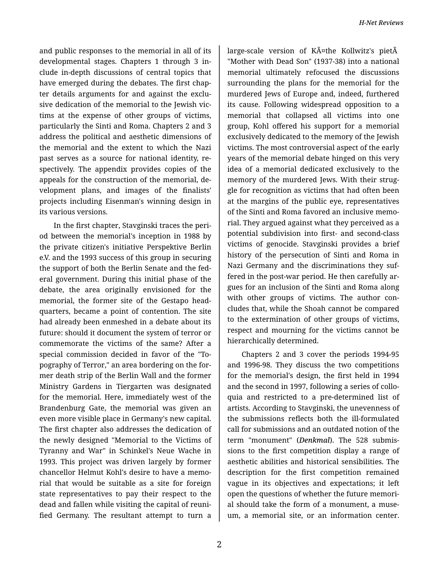and public responses to the memorial in all of its developmental stages. Chapters 1 through 3 in‐ clude in-depth discussions of central topics that have emerged during the debates. The first chapter details arguments for and against the exclu‐ sive dedication of the memorial to the Jewish vic‐ tims at the expense of other groups of victims, particularly the Sinti and Roma. Chapters 2 and 3 address the political and aesthetic dimensions of the memorial and the extent to which the Nazi past serves as a source for national identity, re‐ spectively. The appendix provides copies of the appeals for the construction of the memorial, de‐ velopment plans, and images of the finalists' projects including Eisenman's winning design in its various versions.

In the first chapter, Stavginski traces the peri‐ od between the memorial's inception in 1988 by the private citizen's initiative Perspektive Berlin e.V. and the 1993 success of this group in securing the support of both the Berlin Senate and the fed‐ eral government. During this initial phase of the debate, the area originally envisioned for the memorial, the former site of the Gestapo head‐ quarters, became a point of contention. The site had already been enmeshed in a debate about its future: should it document the system of terror or commemorate the victims of the same? After a special commission decided in favor of the "To‐ pography of Terror," an area bordering on the for‐ mer death strip of the Berlin Wall and the former Ministry Gardens in Tiergarten was designated for the memorial. Here, immediately west of the Brandenburg Gate, the memorial was given an even more visible place in Germany's new capital. The first chapter also addresses the dedication of the newly designed "Memorial to the Victims of Tyranny and War" in Schinkel's Neue Wache in 1993. This project was driven largely by former chancellor Helmut Kohl's desire to have a memo‐ rial that would be suitable as a site for foreign state representatives to pay their respect to the dead and fallen while visiting the capital of reuni‐ fied Germany. The resultant attempt to turn a

large-scale version of Käthe Kollwitz's pietÃ "Mother with Dead Son" (1937-38) into a national memorial ultimately refocused the discussions surrounding the plans for the memorial for the murdered Jews of Europe and, indeed, furthered its cause. Following widespread opposition to a memorial that collapsed all victims into one group, Kohl offered his support for a memorial exclusively dedicated to the memory of the Jewish victims. The most controversial aspect of the early years of the memorial debate hinged on this very idea of a memorial dedicated exclusively to the memory of the murdered Jews. With their strug‐ gle for recognition as victims that had often been at the margins of the public eye, representatives of the Sinti and Roma favored an inclusive memo‐ rial. They argued against what they perceived as a potential subdivision into first- and second-class victims of genocide. Stavginski provides a brief history of the persecution of Sinti and Roma in Nazi Germany and the discriminations they suf‐ fered in the post-war period. He then carefully ar‐ gues for an inclusion of the Sinti and Roma along with other groups of victims. The author concludes that, while the Shoah cannot be compared to the extermination of other groups of victims, respect and mourning for the victims cannot be hierarchically determined.

Chapters 2 and 3 cover the periods 1994-95 and 1996-98. They discuss the two competitions for the memorial's design, the first held in 1994 and the second in 1997, following a series of collo‐ quia and restricted to a pre-determined list of artists. According to Stavginski, the unevenness of the submissions reflects both the ill-formulated call for submissions and an outdated notion of the term "monument" (*Denkmal*). The 528 submis‐ sions to the first competition display a range of aesthetic abilities and historical sensibilities. The description for the first competition remained vague in its objectives and expectations; it left open the questions of whether the future memori‐ al should take the form of a monument, a muse‐ um, a memorial site, or an information center.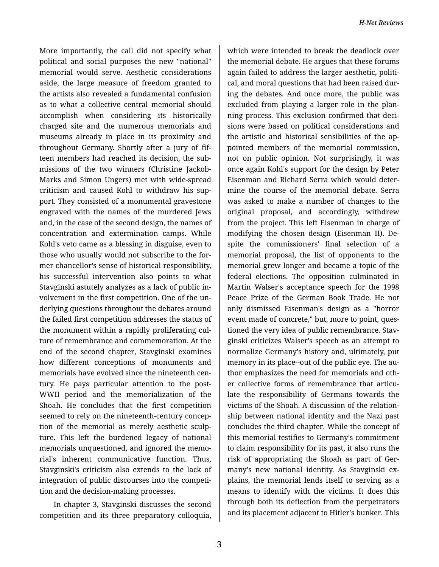More importantly, the call did not specify what political and social purposes the new "national" memorial would serve. Aesthetic considerations aside, the large measure of freedom granted to the artists also revealed a fundamental confusion as to what a collective central memorial should accomplish when considering its historically charged site and the numerous memorials and museums already in place in its proximity and throughout Germany. Shortly after a jury of fif‐ teen members had reached its decision, the sub‐ missions of the two winners (Christine Jackob-Marks and Simon Ungers) met with wide-spread criticism and caused Kohl to withdraw his sup‐ port. They consisted of a monumental gravestone engraved with the names of the murdered Jews and, in the case of the second design, the names of concentration and extermination camps. While Kohl's veto came as a blessing in disguise, even to those who usually would not subscribe to the for‐ mer chancellor's sense of historical responsibility, his successful intervention also points to what Stavginski astutely analyzes as a lack of public in‐ volvement in the first competition. One of the un‐ derlying questions throughout the debates around the failed first competition addresses the status of the monument within a rapidly proliferating cul‐ ture of remembrance and commemoration. At the end of the second chapter, Stavginski examines how different conceptions of monuments and memorials have evolved since the nineteenth cen‐ tury. He pays particular attention to the post-WWII period and the memorialization of the Shoah. He concludes that the first competition seemed to rely on the nineteenth-century concep‐ tion of the memorial as merely aesthetic sculp‐ ture. This left the burdened legacy of national memorials unquestioned, and ignored the memo‐ rial's inherent communicative function. Thus, Stavginski's criticism also extends to the lack of integration of public discourses into the competi‐ tion and the decision-making processes.

In chapter 3, Stavginski discusses the second competition and its three preparatory colloquia,

which were intended to break the deadlock over the memorial debate. He argues that these forums again failed to address the larger aesthetic, politi‐ cal, and moral questions that had been raised dur‐ ing the debates. And once more, the public was excluded from playing a larger role in the plan‐ ning process. This exclusion confirmed that deci‐ sions were based on political considerations and the artistic and historical sensibilities of the ap‐ pointed members of the memorial commission, not on public opinion. Not surprisingly, it was once again Kohl's support for the design by Peter Eisenman and Richard Serra which would deter‐ mine the course of the memorial debate. Serra was asked to make a number of changes to the original proposal, and accordingly, withdrew from the project. This left Eisenman in charge of modifying the chosen design (Eisenman II). De‐ spite the commissioners' final selection of a memorial proposal, the list of opponents to the memorial grew longer and became a topic of the federal elections. The opposition culminated in Martin Walser's acceptance speech for the 1998 Peace Prize of the German Book Trade. He not only dismissed Eisenman's design as a "horror event made of concrete," but, more to point, ques‐ tioned the very idea of public remembrance. Stav‐ ginski criticizes Walser's speech as an attempt to normalize Germany's history and, ultimately, put memory in its place--out of the public eye. The au‐ thor emphasizes the need for memorials and oth‐ er collective forms of remembrance that articulate the responsibility of Germans towards the victims of the Shoah. A discussion of the relation‐ ship between national identity and the Nazi past concludes the third chapter. While the concept of this memorial testifies to Germany's commitment to claim responsibility for its past, it also runs the risk of appropriating the Shoah as part of Ger‐ many's new national identity. As Stavginski ex‐ plains, the memorial lends itself to serving as a means to identify with the victims. It does this through both its deflection from the perpetrators and its placement adjacent to Hitler's bunker. This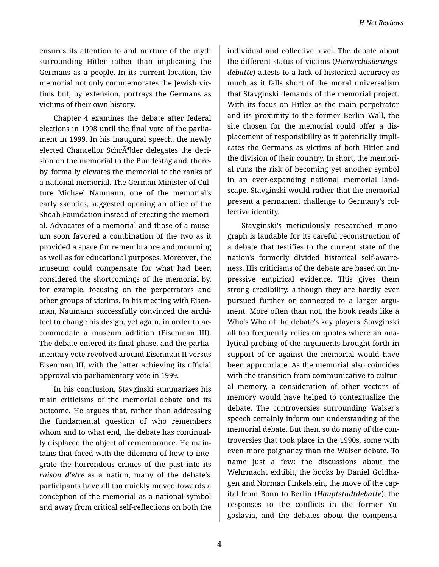ensures its attention to and nurture of the myth surrounding Hitler rather than implicating the Germans as a people. In its current location, the memorial not only commemorates the Jewish vic‐ tims but, by extension, portrays the Germans as victims of their own history.

Chapter 4 examines the debate after federal elections in 1998 until the final vote of the parlia‐ ment in 1999. In his inaugural speech, the newly elected Chancellor Schr $\tilde{A}$  der delegates the decision on the memorial to the Bundestag and, there‐ by, formally elevates the memorial to the ranks of a national memorial. The German Minister of Cul‐ ture Michael Naumann, one of the memorial's early skeptics, suggested opening an office of the Shoah Foundation instead of erecting the memori‐ al. Advocates of a memorial and those of a muse‐ um soon favored a combination of the two as it provided a space for remembrance and mourning as well as for educational purposes. Moreover, the museum could compensate for what had been considered the shortcomings of the memorial by, for example, focusing on the perpetrators and other groups of victims. In his meeting with Eisen‐ man, Naumann successfully convinced the archi‐ tect to change his design, yet again, in order to ac‐ commodate a museum addition (Eisenman III). The debate entered its final phase, and the parlia‐ mentary vote revolved around Eisenman II versus Eisenman III, with the latter achieving its official approval via parliamentary vote in 1999.

In his conclusion, Stavginski summarizes his main criticisms of the memorial debate and its outcome. He argues that, rather than addressing the fundamental question of who remembers whom and to what end, the debate has continual‐ ly displaced the object of remembrance. He main‐ tains that faced with the dilemma of how to inte‐ grate the horrendous crimes of the past into its *raison d'etre* as a nation, many of the debate's participants have all too quickly moved towards a conception of the memorial as a national symbol and away from critical self-reflections on both the

individual and collective level. The debate about the different status of victims (*Hierarchisierungs‐ debatte*) attests to a lack of historical accuracy as much as it falls short of the moral universalism that Stavginski demands of the memorial project. With its focus on Hitler as the main perpetrator and its proximity to the former Berlin Wall, the site chosen for the memorial could offer a dis‐ placement of responsibility as it potentially impli‐ cates the Germans as victims of both Hitler and the division of their country. In short, the memori‐ al runs the risk of becoming yet another symbol in an ever-expanding national memorial land‐ scape. Stavginski would rather that the memorial present a permanent challenge to Germany's col‐ lective identity.

Stavginski's meticulously researched mono‐ graph is laudable for its careful reconstruction of a debate that testifies to the current state of the nation's formerly divided historical self-aware‐ ness. His criticisms of the debate are based on im‐ pressive empirical evidence. This gives them strong credibility, although they are hardly ever pursued further or connected to a larger argument. More often than not, the book reads like a Who's Who of the debate's key players. Stavginski all too frequently relies on quotes where an ana‐ lytical probing of the arguments brought forth in support of or against the memorial would have been appropriate. As the memorial also coincides with the transition from communicative to cultural memory, a consideration of other vectors of memory would have helped to contextualize the debate. The controversies surrounding Walser's speech certainly inform our understanding of the memorial debate. But then, so do many of the con‐ troversies that took place in the 1990s, some with even more poignancy than the Walser debate. To name just a few: the discussions about the Wehrmacht exhibit, the books by Daniel Goldha‐ gen and Norman Finkelstein, the move of the cap‐ ital from Bonn to Berlin (*Hauptstadtdebatte*), the responses to the conflicts in the former Yu‐ goslavia, and the debates about the compensa‐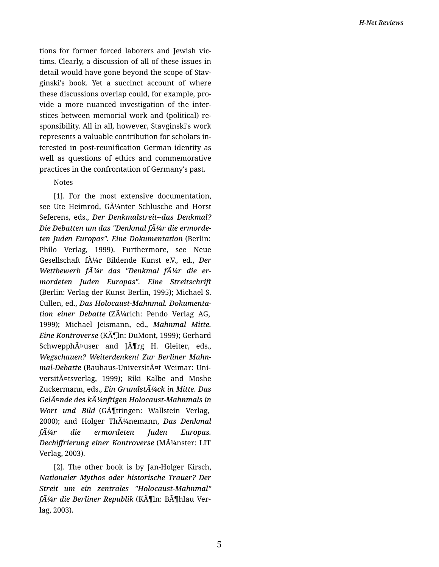tions for former forced laborers and Jewish vic ‐ tims. Clearly, a discussion of all of these issues in detail would have gone beyond the scope of Stav ‐ ginski's book. Yet a succinct account of where these discussions overlap could, for example, pro ‐ vide a more nuanced investigation of the inter ‐ stices between memorial work and (political) re ‐ sponsibility. All in all, however, Stavginski's work represents a valuable contribution for scholars in ‐ terested in post-reuni fication German identity as well as questions of ethics and commemorative practices in the confrontation of Germany's past.

## Notes

[1]. For the most extensive documentation, see Ute Heimrod, GA<sup>1</sup>/<sub>4</sub>nter Schlusche and Horst Seferens, eds., *Der Denkmalstreit--das Denkmal?* Die Debatten um das "Denkmal fA¼r die ermorde*ten Juden Europas". Eine Dokumentation* (Berlin: Philo Verlag, 1999). Furthermore, see Neue Gesellschaft f $\tilde{A}^{1/4}$ r Bildende Kunst e.V., ed., *Der Wettbewerb fA¼r das "Denkmal fA¼r die ermordeten Juden Europas". Eine Streitschrift* (Berlin: Verlag der Kunst Berlin, 1995); Michael S. Cullen, ed., *Das Holocaust-Mahnmal. Dokumenta ‐ tion einer Debatte* (Zürich: Pendo Verlag AG, 1999); Michael Jeismann, ed., *Mahnmal Mitte. Eine Kontroverse* (K $\tilde{A}$ ][ln: DuMont, 1999); Gerhard Schwepph $\tilde{A}$ ¤user and J $\tilde{A}$ Trg H. Gleiter, eds., *Wegschauen? Weiterdenken! Zur Berliner Mahn ‐ mal-Debatte* (Bauhaus-UniversitA¤t Weimar: Universit $\tilde{A}$ ¤tsverlag, 1999); Riki Kalbe and Moshe Zuckermann, eds., *Ein Grundst* $\tilde{A}$ <sup>1</sup>/4ck in Mitte. Das *Gelände des künftigen Holocaust-Mahnmals in Wort und Bild* (GA<sup>I</sup>Ittingen: Wallstein Verlag, 2000); and Holger ThA<sup>1</sup>/4nemann, Das Denkmal *für die ermordeten Juden Europas. Dechiffrierung einer Kontroverse* (MA<sup>1</sup>/anster: LIT Verlag, 2003).

[2]. The other book is by Jan-Holger Kirsch, *Nationaler Mythos oder historische Trauer? Der Streit um ein zentrales "Holocaust-Mahnmal" fA¼r die Berliner Republik* (KA¶ln: BA¶hlau Verlag, 2003).